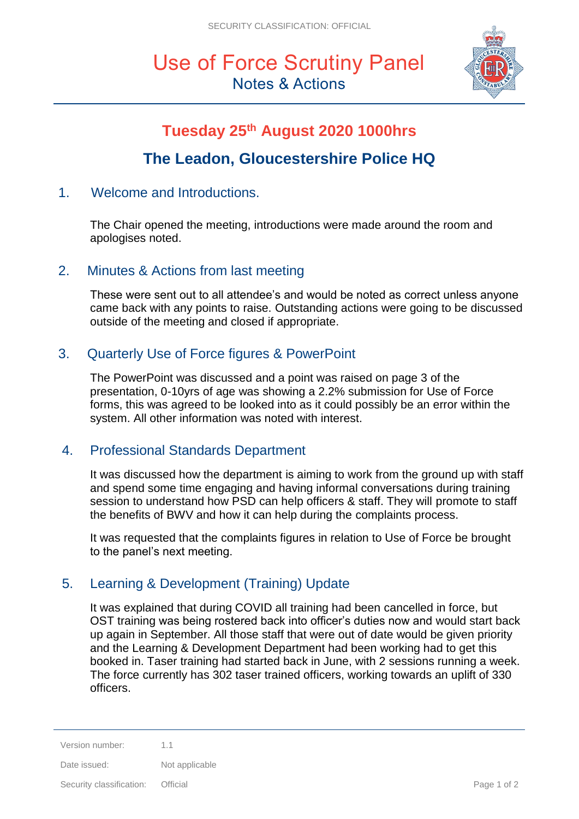# Use of Force Scrutiny Panel Notes & Actions



## **Tuesday 25th August 2020 1000hrs**

## **The Leadon, Gloucestershire Police HQ**

## 1. Welcome and Introductions.

The Chair opened the meeting, introductions were made around the room and apologises noted.

### 2. Minutes & Actions from last meeting

These were sent out to all attendee's and would be noted as correct unless anyone came back with any points to raise. Outstanding actions were going to be discussed outside of the meeting and closed if appropriate.

## 3. Quarterly Use of Force figures & PowerPoint

The PowerPoint was discussed and a point was raised on page 3 of the presentation, 0-10yrs of age was showing a 2.2% submission for Use of Force forms, this was agreed to be looked into as it could possibly be an error within the system. All other information was noted with interest.

## 4. Professional Standards Department

It was discussed how the department is aiming to work from the ground up with staff and spend some time engaging and having informal conversations during training session to understand how PSD can help officers & staff. They will promote to staff the benefits of BWV and how it can help during the complaints process.

It was requested that the complaints figures in relation to Use of Force be brought to the panel's next meeting.

## 5. Learning & Development (Training) Update

It was explained that during COVID all training had been cancelled in force, but OST training was being rostered back into officer's duties now and would start back up again in September. All those staff that were out of date would be given priority and the Learning & Development Department had been working had to get this booked in. Taser training had started back in June, with 2 sessions running a week. The force currently has 302 taser trained officers, working towards an uplift of 330 officers.

Security classification: Official **Page 1 of 2** and 2